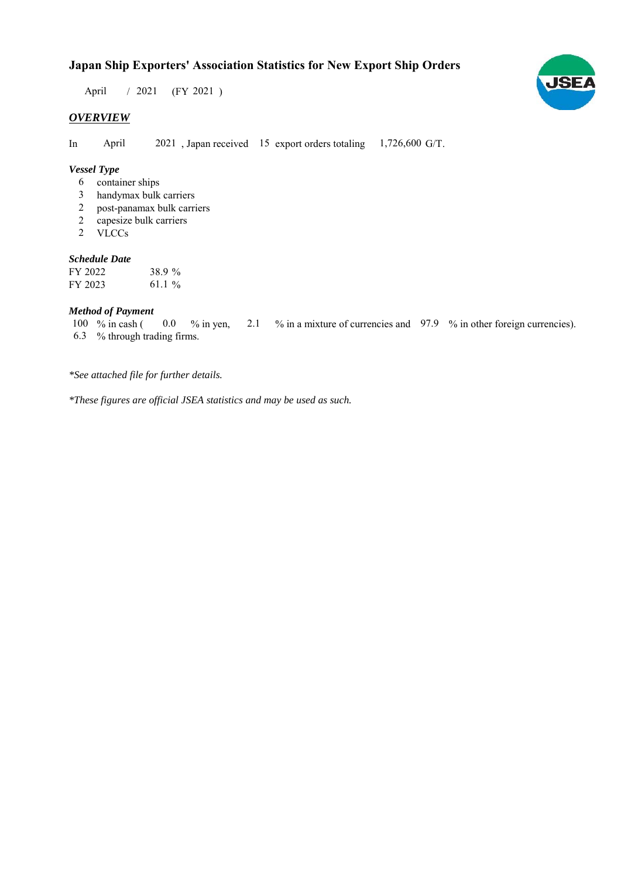# **Japan Ship Exporters' Association Statistics for New Export Ship Orders**

 $/ 2021$  (FY 2021) April

## *OVERVIEW*

In April 2021, Japan received 15 export orders totaling 1,726,600 G/T. April

#### *Vessel Type*

- container ships 6
- handymax bulk carriers 3
- post-panamax bulk carriers 2
- capesize bulk carriers 2
- VLCCs 2

#### *Schedule Date*

| FY 2022 | 38.9 % |
|---------|--------|
| FY 2023 | 61.1 % |

#### *Method of Payment*

% in cash ( $\ 0.0\$  % in yen,  $\ 2.1\$  % in a mixture of currencies and  $\ 97.9\$  % in other foreign currencies). % through trading firms. 6.3 100 % in cash (  $0.0 \t% in yen,$ 

*\*See attached file for further details.*

*\*These figures are official JSEA statistics and may be used as such.*

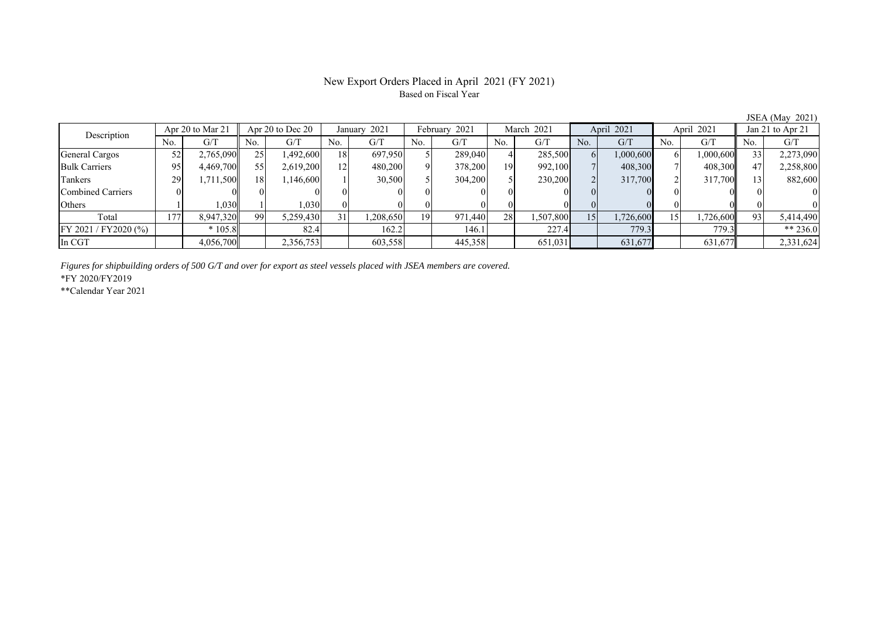# New Export Orders Placed in April 2021 (FY 2021) Based on Fiscal Year

JSEA (May 2021)

| Description           | Apr 20 to Mar 21 |           | Apr 20 to Dec $20$ |           | January 2021    |          | February 2021 |         | March 2021 |           | April 2021 |           | April 2021 |           | Jan 21 to Apr 21 |           |
|-----------------------|------------------|-----------|--------------------|-----------|-----------------|----------|---------------|---------|------------|-----------|------------|-----------|------------|-----------|------------------|-----------|
|                       | No.              | G/T       | No.                | G/T       | No.             | G/T      | No.           | G/T     | No.        | G/T       | No.        | G/T       | No.        | G/T       | No.              | G/T       |
| General Cargos        | 52               | 2,765,090 | 25                 | 1,492,600 | 18              | 697,950  |               | 289,040 |            | 285,500   |            | 1,000,600 |            | 1,000,600 |                  | 2,273,090 |
| <b>Bulk Carriers</b>  | 95               | 4,469,700 | 55                 | 2,619,200 | 12              | 480,200  |               | 378,200 | 19         | 992.100   |            | 408,300   |            | 408,300   |                  | 2,258,800 |
| Tankers               | 29               | .711,500  | 18 <sup>1</sup>    | 1,146,600 |                 | 30,500   |               | 304,200 |            | 230,200   |            | 317,700   |            | 317,700   |                  | 882,600   |
| Combined Carriers     |                  |           |                    |           |                 |          |               |         |            |           |            |           |            |           |                  | $\Omega$  |
| Others                |                  | 1,030     |                    | 1,030     |                 |          |               |         |            |           |            |           |            |           |                  |           |
| Total                 | 177              | 8,947,320 | 99                 | 5,259,430 | 31 <sub>1</sub> | ,208,650 | 19.           | 971,440 | 28         | 1,507,800 | 15         | 1,726,600 |            | 1,726,600 | 93               | 5,414,490 |
| FY 2021 / FY 2020 (%) |                  | $*105.8$  |                    | 82.4      |                 | 162.2    |               | 146.1   |            | 227.4     |            | 779.3     |            | 779.3     |                  | ** 236.0  |
| In CGT                |                  | 4,056,700 |                    | 2,356,753 |                 | 603,558  |               | 445,358 |            | 651,031   |            | 631,677   |            | 631,677   |                  | 2,331,624 |

*Figures for shipbuilding orders of 500 G/T and over for export as steel vessels placed with JSEA members are covered.*

\*FY 2020/FY2019

\*\*Calendar Year 2021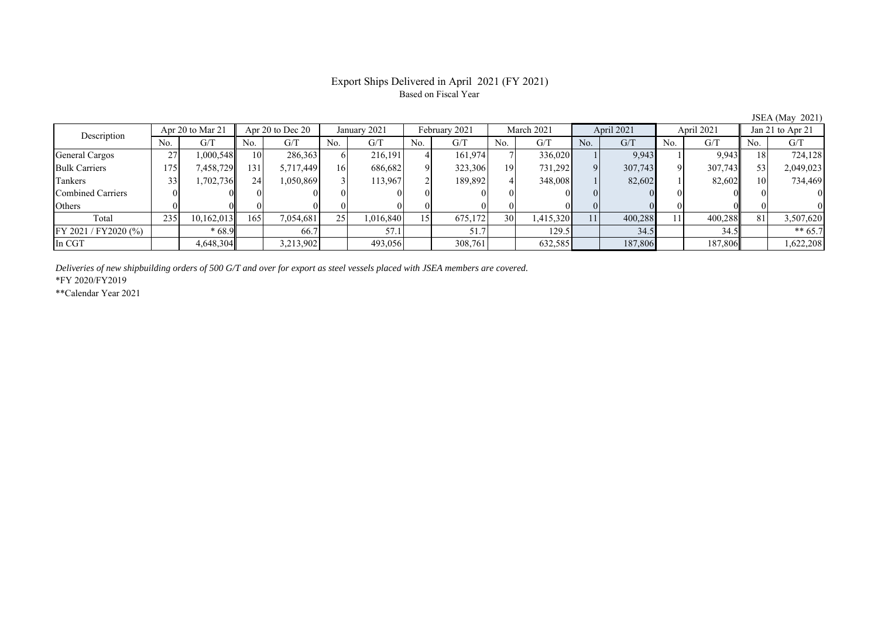# Export Ships Delivered in April 2021 (FY 2021) Based on Fiscal Year

JSEA (May 2021)

| Description           | Apr 20 to Mar 21 |            | Apr 20 to Dec 20 |           | January 2021    |           | February 2021 |          | March 2021 |           | April 2021   |         | April 2021     |         | Jan 21 to Apr 21 |           |
|-----------------------|------------------|------------|------------------|-----------|-----------------|-----------|---------------|----------|------------|-----------|--------------|---------|----------------|---------|------------------|-----------|
|                       | No.              | G/T        | No.              | G/T       | No.             | G/T       | No.           | G/T      | No.        | G/T       | No.          | G/T     | N <sub>0</sub> | G/T     | No.              | G/T       |
| General Cargos        | <u>، ،</u>       | 000,548    | 10               | 286,363   |                 | 216,191   |               | 161,974  |            | 336,020   |              | 9,943   |                | 9,943   | 18               | 724,128   |
| <b>Bulk Carriers</b>  | 175              | 7,458,729  | 131              | 5,717,449 | 16              | 686,682   |               | 323,306  | 19         | 731,292   | $\mathbf{Q}$ | 307,743 |                | 307,743 | 53               | 2,049,023 |
| Tankers               |                  | 1,702,736  | 24 <sub>1</sub>  | 1,050,869 |                 | 113,967   |               | 189,892  |            | 348,008   |              | 82,602  |                | 82,602  | 10               | 734,469   |
| Combined Carriers     |                  |            |                  |           |                 |           |               |          |            |           |              |         |                |         |                  |           |
| Others                |                  |            |                  |           |                 |           |               | $\Omega$ |            |           |              |         |                |         |                  |           |
| Total                 | 235              | 10,162,013 | 165              | 7,054,681 | 25 <sup>1</sup> | 1,016,840 |               | 675,172  | 30         | 1,415,320 | 11           | 400,288 | 11             | 400,288 | 81               | 3,507,620 |
| FY 2021 / FY 2020 (%) |                  | $*68.9$    |                  | 66.7      |                 | 57.1      |               | 51.7     |            | 129.5     |              | 34.5    |                | 34.5    |                  | $** 65.7$ |
| In CGT                |                  | 4,648,304  |                  | 3,213,902 |                 | 493,056   |               | 308,761  |            | 632,585   |              | 187,806 |                | 187,806 |                  | 1,622,208 |

*Deliveries of new shipbuilding orders of 500 G/T and over for export as steel vessels placed with JSEA members are covered.*

\*FY 2020/FY2019

\*\*Calendar Year 2021